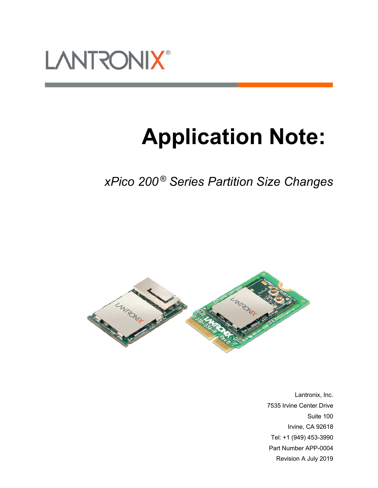

# **Application Note:**

*xPico 200 ® Series Partition Size Changes*



Lantronix, Inc. 7535 Irvine Center Drive Suite 100 Irvine, CA 92618 Tel: +1 (949) 453-3990 Part Number APP-0004 Revision A July 2019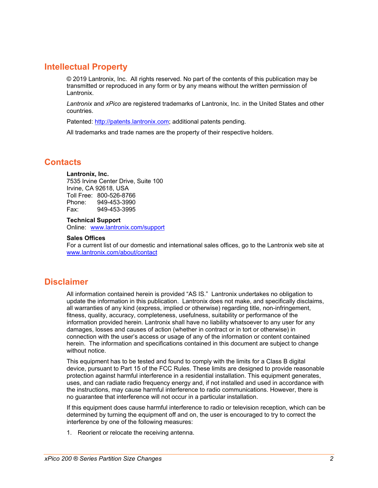# <span id="page-1-0"></span>**Intellectual Property**

© 2019 Lantronix, Inc. All rights reserved. No part of the contents of this publication may be transmitted or reproduced in any form or by any means without the written permission of Lantronix.

*Lantronix* and *xPico* are registered trademarks of Lantronix, Inc. in the United States and other countries.

Patented: [http://patents.lantronix.com;](http://patents.lantronix.com/) additional patents pending.

All trademarks and trade names are the property of their respective holders.

# <span id="page-1-1"></span>**Contacts**

#### **Lantronix, Inc.**

7535 Irvine Center Drive, Suite 100 Irvine, CA 92618, USA Toll Free: 800-526-8766 Phone: 949-453-3990 Fax: 949-453-3995

### **Technical Support**

Online: [www.lantronix.com/support](http://www.lantronix.com/support)

#### **Sales Offices**

For a current list of our domestic and international sales offices, go to the Lantronix web site at [www.lantronix.com/about/contact](http://www.lantronix.com/about/contact)

# <span id="page-1-2"></span>**Disclaimer**

All information contained herein is provided "AS IS." Lantronix undertakes no obligation to update the information in this publication. Lantronix does not make, and specifically disclaims, all warranties of any kind (express, implied or otherwise) regarding title, non-infringement, fitness, quality, accuracy, completeness, usefulness, suitability or performance of the information provided herein. Lantronix shall have no liability whatsoever to any user for any damages, losses and causes of action (whether in contract or in tort or otherwise) in connection with the user's access or usage of any of the information or content contained herein. The information and specifications contained in this document are subject to change without notice.

This equipment has to be tested and found to comply with the limits for a Class B digital device, pursuant to Part 15 of the FCC Rules. These limits are designed to provide reasonable protection against harmful interference in a residential installation. This equipment generates, uses, and can radiate radio frequency energy and, if not installed and used in accordance with the instructions, may cause harmful interference to radio communications. However, there is no guarantee that interference will not occur in a particular installation.

If this equipment does cause harmful interference to radio or television reception, which can be determined by turning the equipment off and on, the user is encouraged to try to correct the interference by one of the following measures:

1. Reorient or relocate the receiving antenna.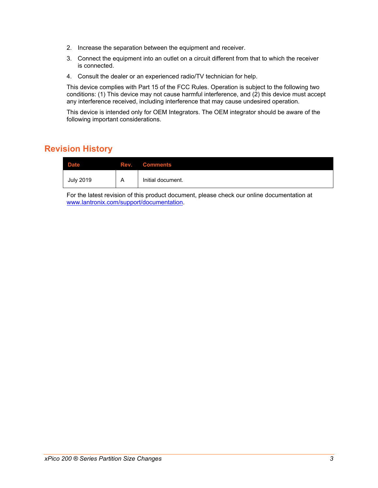- 2. Increase the separation between the equipment and receiver.
- 3. Connect the equipment into an outlet on a circuit different from that to which the receiver is connected.
- 4. Consult the dealer or an experienced radio/TV technician for help.

This device complies with Part 15 of the FCC Rules. Operation is subject to the following two conditions: (1) This device may not cause harmful interference, and (2) this device must accept any interference received, including interference that may cause undesired operation.

This device is intended only for OEM Integrators. The OEM integrator should be aware of the following important considerations.

# <span id="page-2-0"></span>**Revision History**

| <b>Date</b>      |   | <b>Rev.</b> Comments |
|------------------|---|----------------------|
| <b>July 2019</b> | A | Initial document.    |

For the latest revision of this product document, please check our online documentation at [www.lantronix.com/support/documentation.](http://www.lantronix.com/support/documentation.html)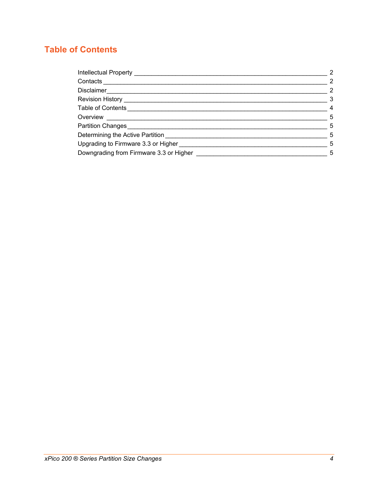# <span id="page-3-0"></span>**Table of Contents**

| Intellectual Property _______________     | 2                       |  |
|-------------------------------------------|-------------------------|--|
| Contacts                                  | $\overline{2}$          |  |
| Disclaimer                                | $\overline{2}$          |  |
| Revision History <b>New York Revision</b> | $\overline{\mathbf{3}}$ |  |
| Table of Contents                         | $\overline{4}$          |  |
| Overview                                  | -5                      |  |
| Partition Changes                         | - 5                     |  |
| Determining the Active Partition          | 5                       |  |
| Upgrading to Firmware 3.3 or Higher       | 5                       |  |
| Downgrading from Firmware 3.3 or Higher   |                         |  |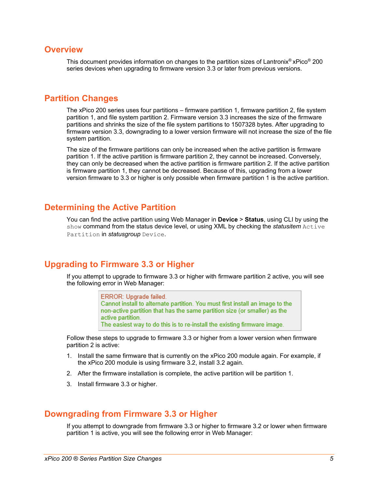## <span id="page-4-0"></span>**Overview**

This document provides information on changes to the partition sizes of Lantronix® xPico® 200 series devices when upgrading to firmware version 3.3 or later from previous versions.

## <span id="page-4-1"></span>**Partition Changes**

The xPico 200 series uses four partitions – firmware partition 1, firmware partition 2, file system partition 1, and file system partition 2. Firmware version 3.3 increases the size of the firmware partitions and shrinks the size of the file system partitions to 1507328 bytes. After upgrading to firmware version 3.3, downgrading to a lower version firmware will not increase the size of the file system partition.

The size of the firmware partitions can only be increased when the active partition is firmware partition 1. If the active partition is firmware partition 2, they cannot be increased. Conversely, they can only be decreased when the active partition is firmware partition 2. If the active partition is firmware partition 1, they cannot be decreased. Because of this, upgrading from a lower version firmware to 3.3 or higher is only possible when firmware partition 1 is the active partition.

## <span id="page-4-2"></span>**Determining the Active Partition**

You can find the active partition using Web Manager in **Device** > **Status**, using CLI by using the show command from the status device level, or using XML by checking the *statusitem* Active Partition in *statusgroup* Device.

# <span id="page-4-3"></span>**Upgrading to Firmware 3.3 or Higher**

If you attempt to upgrade to firmware 3.3 or higher with firmware partition 2 active, you will see the following error in Web Manager:

> ERROR: Upgrade failed. Cannot install to alternate partition. You must first install an image to the non-active partition that has the same partition size (or smaller) as the active partition.

The easiest way to do this is to re-install the existing firmware image.

Follow these steps to upgrade to firmware 3.3 or higher from a lower version when firmware partition 2 is active:

- 1. Install the same firmware that is currently on the xPico 200 module again. For example, if the xPico 200 module is using firmware 3.2, install 3.2 again.
- 2. After the firmware installation is complete, the active partition will be partition 1.
- 3. Install firmware 3.3 or higher.

# <span id="page-4-4"></span>**Downgrading from Firmware 3.3 or Higher**

If you attempt to downgrade from firmware 3.3 or higher to firmware 3.2 or lower when firmware partition 1 is active, you will see the following error in Web Manager: